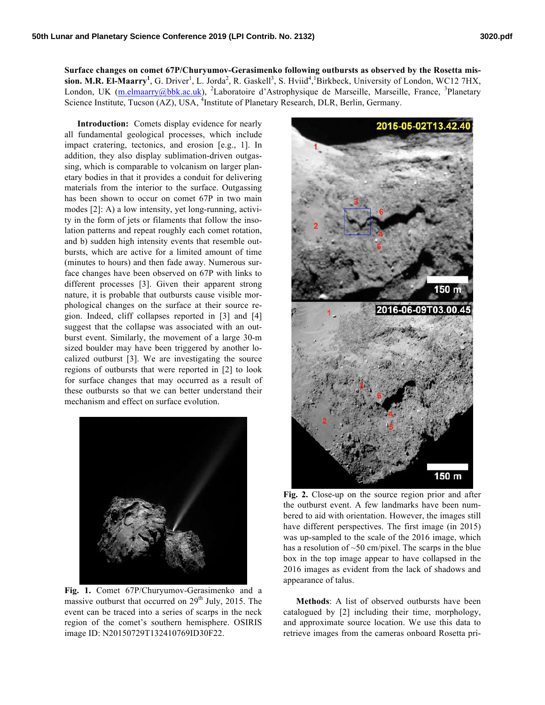**Surface changes on comet 67P/Churyumov-Gerasimenko following outbursts as observed by the Rosetta mis-** $\sin$ . M.R. El-Maarry<sup>1</sup>, G. Driver<sup>1</sup>, L. Jorda<sup>2</sup>, R. Gaskell<sup>3</sup>, S. Hviid<sup>4</sup>, Birkbeck, University of London, WC12 7HX, London, UK (m.elmaarry@bbk.ac.uk), <sup>2</sup>Laboratoire d'Astrophysique de Marseille, Marseille, France, <sup>3</sup>Planetary Science Institute, Tucson (AZ), USA, <sup>4</sup>Institute of Planetary Research, DLR, Berlin, Germany.

**Introduction:** Comets display evidence for nearly all fundamental geological processes, which include impact cratering, tectonics, and erosion [e.g., 1]. In addition, they also display sublimation-driven outgassing, which is comparable to volcanism on larger planetary bodies in that it provides a conduit for delivering materials from the interior to the surface. Outgassing has been shown to occur on comet 67P in two main modes [2]: A) a low intensity, yet long-running, activity in the form of jets or filaments that follow the insolation patterns and repeat roughly each comet rotation, and b) sudden high intensity events that resemble outbursts, which are active for a limited amount of time (minutes to hours) and then fade away. Numerous surface changes have been observed on 67P with links to different processes [3]. Given their apparent strong nature, it is probable that outbursts cause visible morphological changes on the surface at their source region. Indeed, cliff collapses reported in [3] and [4] suggest that the collapse was associated with an outburst event. Similarly, the movement of a large 30-m sized boulder may have been triggered by another localized outburst [3]. We are investigating the source regions of outbursts that were reported in [2] to look for surface changes that may occurred as a result of these outbursts so that we can better understand their mechanism and effect on surface evolution.



**Fig. 1.** Comet 67P/Churyumov-Gerasimenko and a massive outburst that occurred on  $29<sup>th</sup>$  July, 2015. The event can be traced into a series of scarps in the neck region of the comet's southern hemisphere. OSIRIS image ID: N20150729T132410769ID30F22.



Fig. 2. Close-up on the source region prior and after the outburst event. A few landmarks have been numbered to aid with orientation. However, the images still have different perspectives. The first image (in 2015) was up-sampled to the scale of the 2016 image, which has a resolution of  $\sim$ 50 cm/pixel. The scarps in the blue box in the top image appear to have collapsed in the 2016 images as evident from the lack of shadows and appearance of talus.

**Methods**: A list of observed outbursts have been catalogued by [2] including their time, morphology, and approximate source location. We use this data to retrieve images from the cameras onboard Rosetta pri